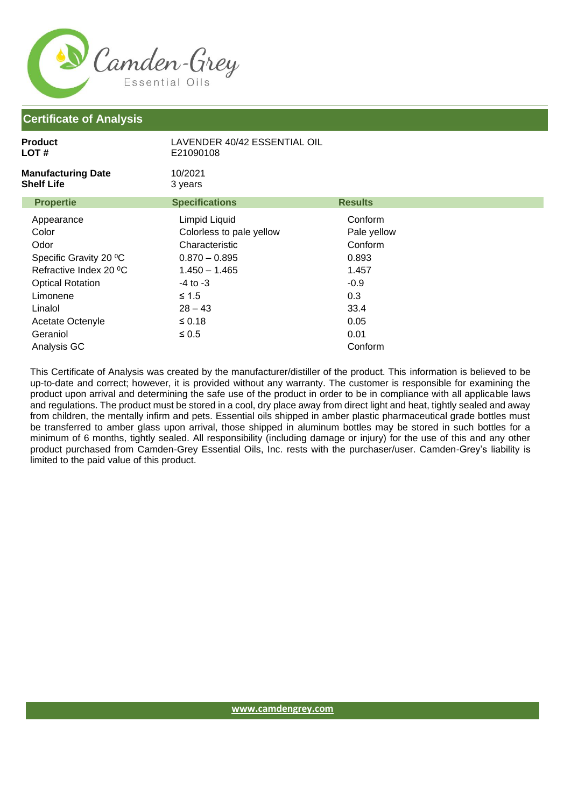

| <b>Product</b><br>LOT#                         | LAVENDER 40/42 ESSENTIAL OIL<br>E21090108 |                |  |
|------------------------------------------------|-------------------------------------------|----------------|--|
| <b>Manufacturing Date</b><br><b>Shelf Life</b> | 10/2021<br>3 years                        |                |  |
| <b>Propertie</b>                               | <b>Specifications</b>                     | <b>Results</b> |  |
| Appearance                                     | Limpid Liquid                             | Conform        |  |
| Color                                          | Colorless to pale yellow                  | Pale yellow    |  |
| Odor                                           | Characteristic                            | Conform        |  |
| Specific Gravity 20 °C                         | $0.870 - 0.895$                           | 0.893          |  |
| Refractive Index 20 °C                         | $1.450 - 1.465$                           | 1.457          |  |
| <b>Optical Rotation</b>                        | $-4$ to $-3$                              | $-0.9$         |  |
| Limonene                                       | ≤ 1.5                                     | 0.3            |  |
| Linalol                                        | $28 - 43$                                 | 33.4           |  |
| Acetate Octenyle                               | $\leq 0.18$                               | 0.05           |  |
| Geraniol                                       | $\leq 0.5$                                | 0.01           |  |
| Analysis GC                                    |                                           | Conform        |  |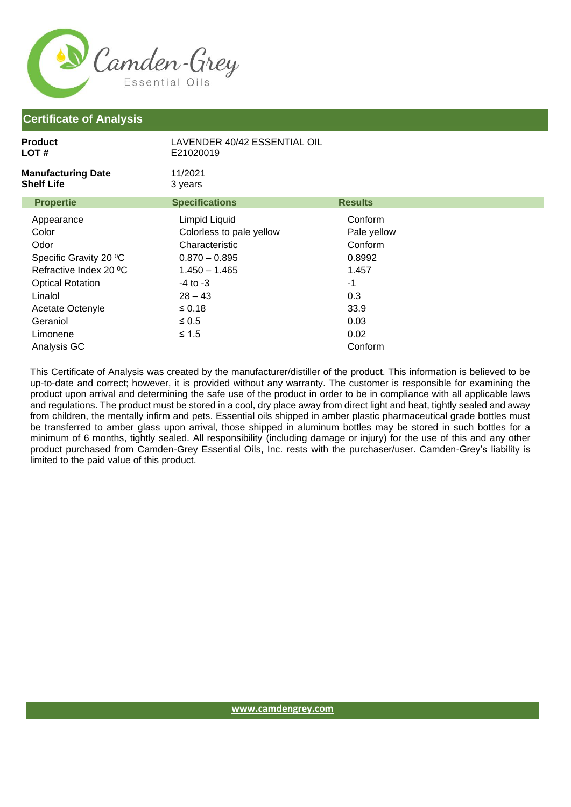

| <b>Product</b><br>LOT #                        | LAVENDER 40/42 ESSENTIAL OIL<br>E21020019 |                |  |
|------------------------------------------------|-------------------------------------------|----------------|--|
| <b>Manufacturing Date</b><br><b>Shelf Life</b> | 11/2021<br>3 years                        |                |  |
| <b>Propertie</b>                               | <b>Specifications</b>                     | <b>Results</b> |  |
| Appearance                                     | Limpid Liquid                             | Conform        |  |
| Color                                          | Colorless to pale yellow                  | Pale yellow    |  |
| Odor                                           | Characteristic                            | Conform        |  |
| Specific Gravity 20 °C                         | $0.870 - 0.895$                           | 0.8992         |  |
| Refractive Index 20 °C                         | $1.450 - 1.465$                           | 1.457          |  |
| <b>Optical Rotation</b>                        | $-4$ to $-3$                              | $-1$           |  |
| Linalol                                        | $28 - 43$                                 | 0.3            |  |
| Acetate Octenyle                               | ≤ 0.18                                    | 33.9           |  |
| Geraniol                                       | $\leq 0.5$                                | 0.03           |  |
| Limonene                                       | $\leq 1.5$                                | 0.02           |  |
| Analysis GC                                    |                                           | Conform        |  |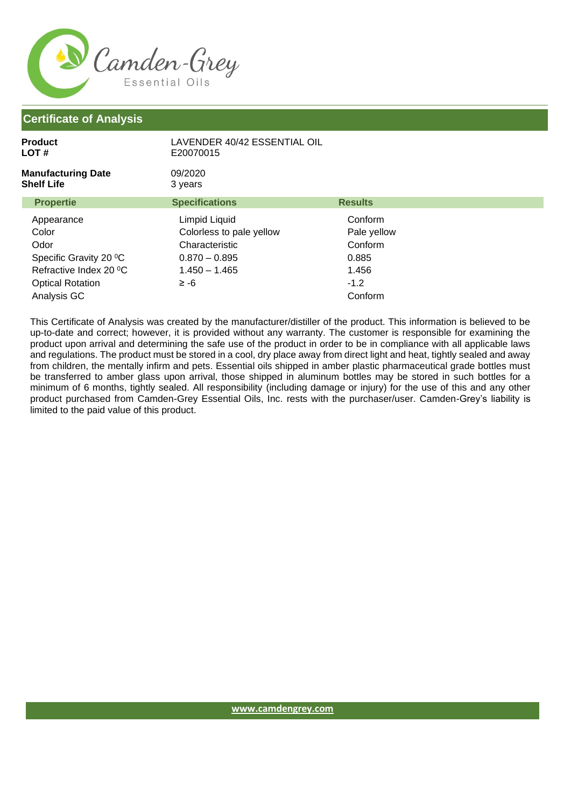

| <b>Product</b><br>LOT #                        | LAVENDER 40/42 ESSENTIAL OIL<br>E20070015 |                |
|------------------------------------------------|-------------------------------------------|----------------|
| <b>Manufacturing Date</b><br><b>Shelf Life</b> | 09/2020<br>3 years                        |                |
| <b>Propertie</b>                               | <b>Specifications</b>                     | <b>Results</b> |
| Appearance                                     | Limpid Liquid                             | Conform        |
| Color                                          | Colorless to pale yellow                  | Pale yellow    |
| Odor                                           | Characteristic                            | Conform        |
| Specific Gravity 20 °C                         | $0.870 - 0.895$                           | 0.885          |
| Refractive Index 20 °C                         | $1.450 - 1.465$                           | 1.456          |
| <b>Optical Rotation</b>                        | $\ge -6$                                  | $-1.2$         |
| Analysis GC                                    |                                           | Conform        |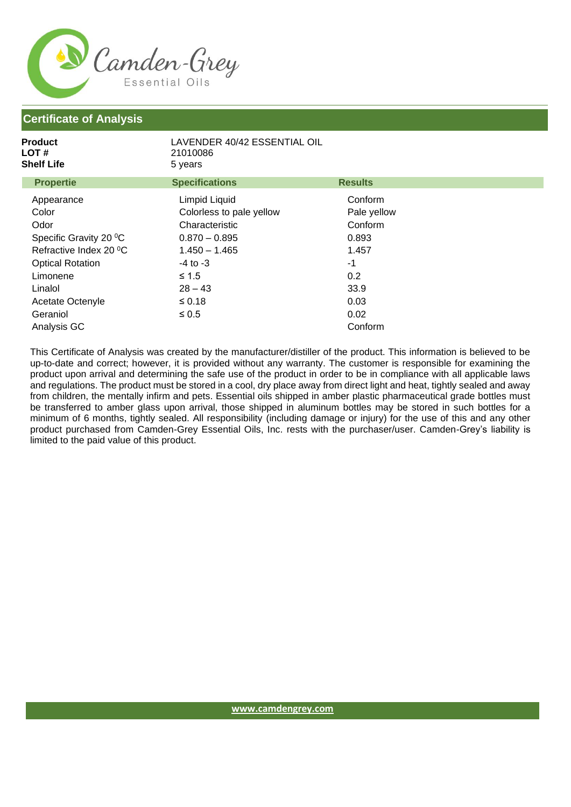

| <b>Product</b><br>LOT #<br><b>Shelf Life</b> | LAVENDER 40/42 ESSENTIAL OIL<br>21010086<br>5 years |                |  |
|----------------------------------------------|-----------------------------------------------------|----------------|--|
| <b>Propertie</b>                             | <b>Specifications</b>                               | <b>Results</b> |  |
| Appearance                                   | Limpid Liquid                                       | Conform        |  |
| Color                                        | Colorless to pale yellow                            | Pale yellow    |  |
| Odor                                         | Characteristic                                      | Conform        |  |
| Specific Gravity 20 °C                       | $0.870 - 0.895$                                     | 0.893          |  |
| Refractive Index 20 °C                       | $1.450 - 1.465$                                     | 1.457          |  |
| <b>Optical Rotation</b>                      | $-4$ to $-3$                                        | -1             |  |
| Limonene                                     | $\leq 1.5$                                          | 0.2            |  |
| Linalol                                      | $28 - 43$                                           | 33.9           |  |
| Acetate Octenyle                             | $\leq 0.18$                                         | 0.03           |  |
| Geraniol                                     | $\leq 0.5$                                          | 0.02           |  |
| Analysis GC                                  |                                                     | Conform        |  |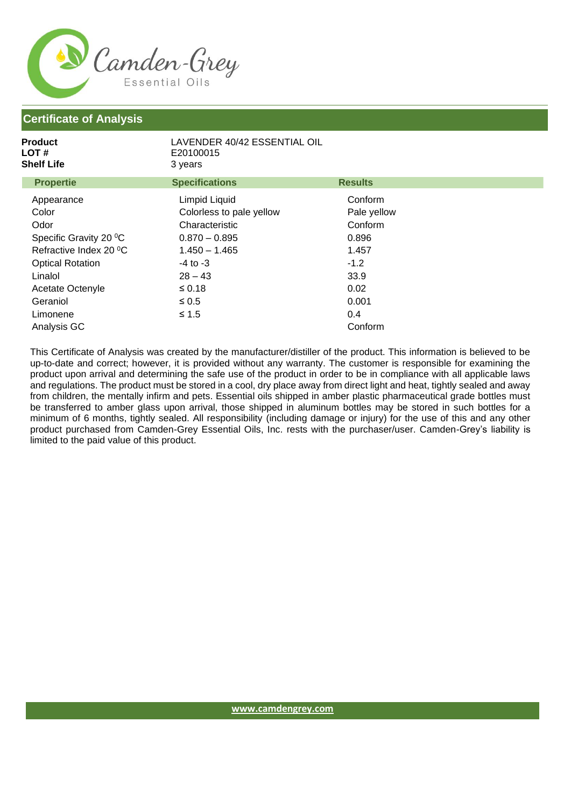

| Product<br>LOT #<br><b>Shelf Life</b> | LAVENDER 40/42 ESSENTIAL OIL<br>E20100015<br>3 years |                |  |
|---------------------------------------|------------------------------------------------------|----------------|--|
| <b>Propertie</b>                      | <b>Specifications</b>                                | <b>Results</b> |  |
| Appearance                            | Limpid Liquid                                        | Conform        |  |
| Color                                 | Colorless to pale yellow                             | Pale yellow    |  |
| Odor                                  | Characteristic                                       | Conform        |  |
| Specific Gravity 20 °C                | $0.870 - 0.895$                                      | 0.896          |  |
| Refractive Index 20 °C                | $1.450 - 1.465$                                      | 1.457          |  |
| <b>Optical Rotation</b>               | $-4$ to $-3$                                         | $-1.2$         |  |
| Linalol                               | $28 - 43$                                            | 33.9           |  |
| Acetate Octenyle                      | $≤ 0.18$                                             | 0.02           |  |
| Geraniol                              | $\leq 0.5$                                           | 0.001          |  |
| Limonene                              | $≤ 1.5$                                              | 0.4            |  |
| Analysis GC                           |                                                      | Conform        |  |